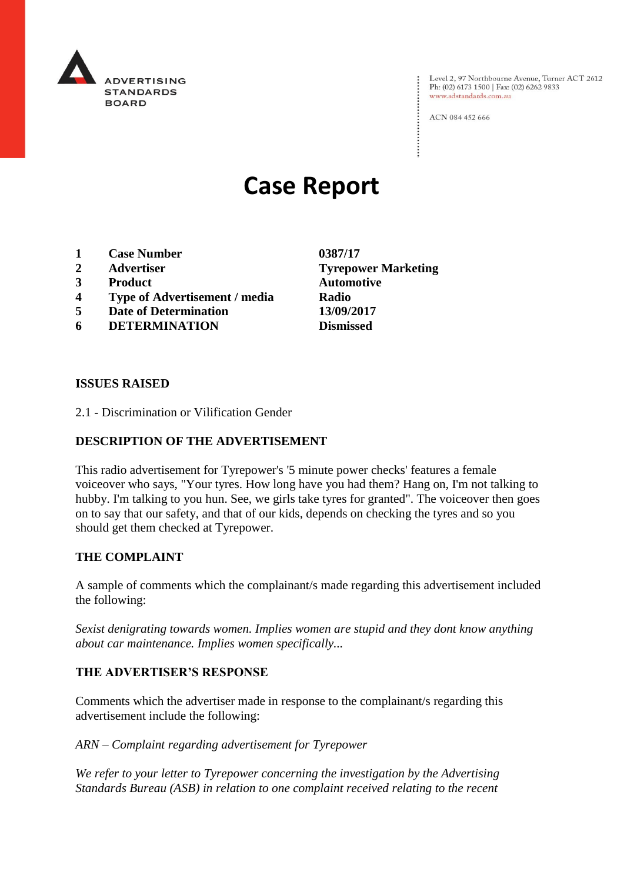

Level 2, 97 Northbourne Avenue, Turner ACT 2612<br>Ph: (02) 6173 1500 | Fax: (02) 6262 9833 www.adstandards.com.au

ACN 084 452 666

# **Case Report**

- **1 Case Number 0387/17**
- **2 Advertiser Tyrepower Marketing**
- **3 Product Automotive**
- **4 Type of Advertisement / media Radio**
- **5 Date of Determination 13/09/2017**
- **6 DETERMINATION Dismissed**

**ISSUES RAISED**

2.1 - Discrimination or Vilification Gender

### **DESCRIPTION OF THE ADVERTISEMENT**

This radio advertisement for Tyrepower's '5 minute power checks' features a female voiceover who says, "Your tyres. How long have you had them? Hang on, I'm not talking to hubby. I'm talking to you hun. See, we girls take tyres for granted". The voiceover then goes on to say that our safety, and that of our kids, depends on checking the tyres and so you should get them checked at Tyrepower.

#### **THE COMPLAINT**

A sample of comments which the complainant/s made regarding this advertisement included the following:

*Sexist denigrating towards women. Implies women are stupid and they dont know anything about car maintenance. Implies women specifically...*

#### **THE ADVERTISER'S RESPONSE**

Comments which the advertiser made in response to the complainant/s regarding this advertisement include the following:

*ARN – Complaint regarding advertisement for Tyrepower*

*We refer to your letter to Tyrepower concerning the investigation by the Advertising Standards Bureau (ASB) in relation to one complaint received relating to the recent*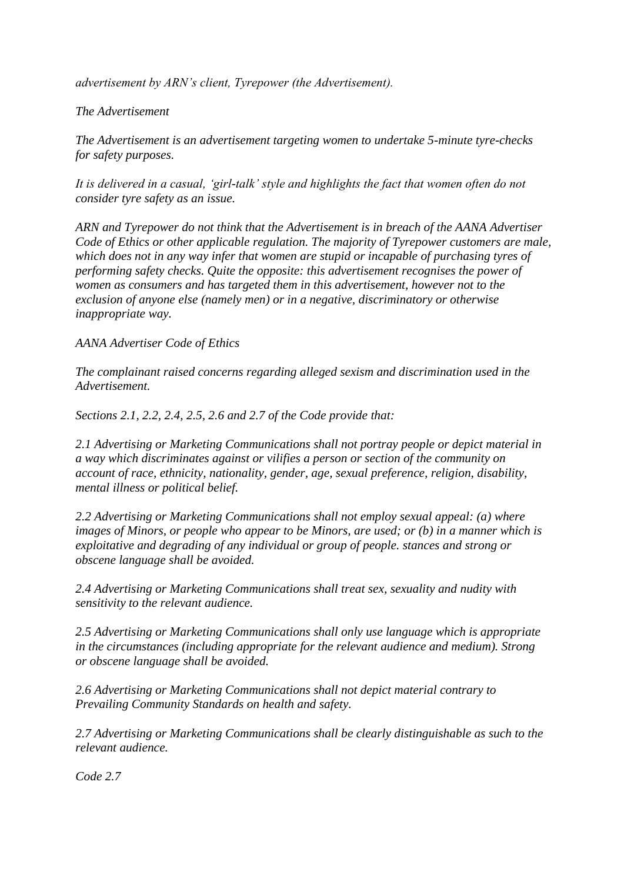*advertisement by ARN's client, Tyrepower (the Advertisement).*

## *The Advertisement*

*The Advertisement is an advertisement targeting women to undertake 5-minute tyre-checks for safety purposes.*

*It is delivered in a casual, 'girl-talk' style and highlights the fact that women often do not consider tyre safety as an issue.*

*ARN and Tyrepower do not think that the Advertisement is in breach of the AANA Advertiser Code of Ethics or other applicable regulation. The majority of Tyrepower customers are male, which does not in any way infer that women are stupid or incapable of purchasing tyres of performing safety checks. Quite the opposite: this advertisement recognises the power of women as consumers and has targeted them in this advertisement, however not to the exclusion of anyone else (namely men) or in a negative, discriminatory or otherwise inappropriate way.*

## *AANA Advertiser Code of Ethics*

*The complainant raised concerns regarding alleged sexism and discrimination used in the Advertisement.*

*Sections 2.1, 2.2, 2.4, 2.5, 2.6 and 2.7 of the Code provide that:*

*2.1 Advertising or Marketing Communications shall not portray people or depict material in a way which discriminates against or vilifies a person or section of the community on account of race, ethnicity, nationality, gender, age, sexual preference, religion, disability, mental illness or political belief.*

*2.2 Advertising or Marketing Communications shall not employ sexual appeal: (a) where images of Minors, or people who appear to be Minors, are used; or (b) in a manner which is exploitative and degrading of any individual or group of people. stances and strong or obscene language shall be avoided.*

*2.4 Advertising or Marketing Communications shall treat sex, sexuality and nudity with sensitivity to the relevant audience.*

*2.5 Advertising or Marketing Communications shall only use language which is appropriate in the circumstances (including appropriate for the relevant audience and medium). Strong or obscene language shall be avoided.*

*2.6 Advertising or Marketing Communications shall not depict material contrary to Prevailing Community Standards on health and safety.*

*2.7 Advertising or Marketing Communications shall be clearly distinguishable as such to the relevant audience.*

*Code 2.7*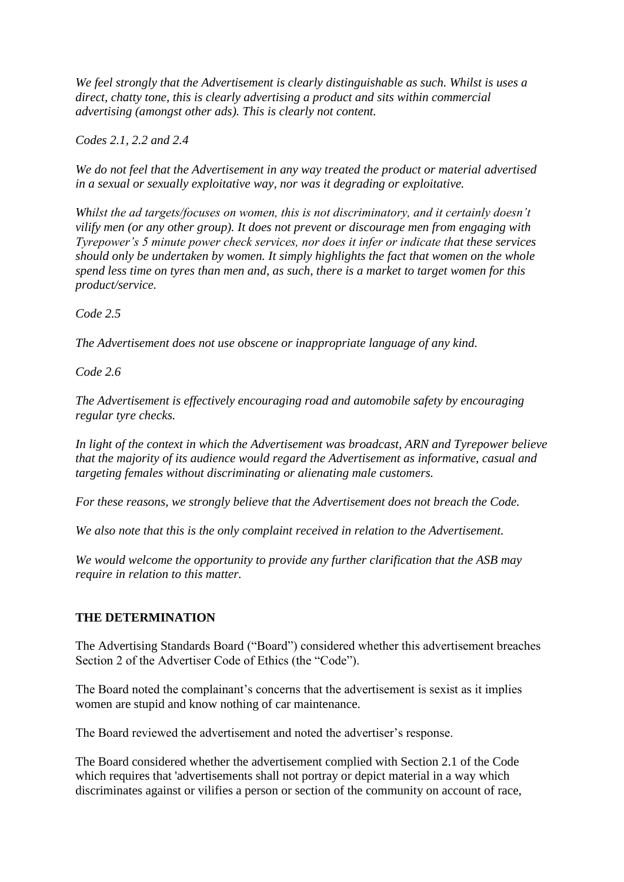*We feel strongly that the Advertisement is clearly distinguishable as such. Whilst is uses a direct, chatty tone, this is clearly advertising a product and sits within commercial advertising (amongst other ads). This is clearly not content.*

*Codes 2.1, 2.2 and 2.4*

*We do not feel that the Advertisement in any way treated the product or material advertised in a sexual or sexually exploitative way, nor was it degrading or exploitative.*

*Whilst the ad targets/focuses on women, this is not discriminatory, and it certainly doesn't vilify men (or any other group). It does not prevent or discourage men from engaging with Tyrepower's 5 minute power check services, nor does it infer or indicate that these services should only be undertaken by women. It simply highlights the fact that women on the whole spend less time on tyres than men and, as such, there is a market to target women for this product/service.*

*Code 2.5*

*The Advertisement does not use obscene or inappropriate language of any kind.*

*Code 2.6*

*The Advertisement is effectively encouraging road and automobile safety by encouraging regular tyre checks.*

*In light of the context in which the Advertisement was broadcast, ARN and Tyrepower believe that the majority of its audience would regard the Advertisement as informative, casual and targeting females without discriminating or alienating male customers.*

*For these reasons, we strongly believe that the Advertisement does not breach the Code.*

*We also note that this is the only complaint received in relation to the Advertisement.*

*We would welcome the opportunity to provide any further clarification that the ASB may require in relation to this matter.*

## **THE DETERMINATION**

The Advertising Standards Board ("Board") considered whether this advertisement breaches Section 2 of the Advertiser Code of Ethics (the "Code").

The Board noted the complainant's concerns that the advertisement is sexist as it implies women are stupid and know nothing of car maintenance.

The Board reviewed the advertisement and noted the advertiser's response.

The Board considered whether the advertisement complied with Section 2.1 of the Code which requires that 'advertisements shall not portray or depict material in a way which discriminates against or vilifies a person or section of the community on account of race,